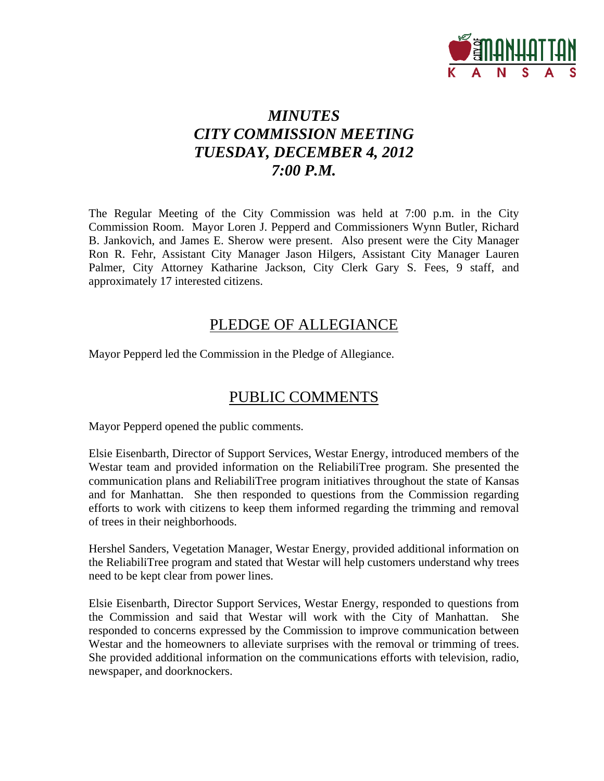

# *MINUTES CITY COMMISSION MEETING TUESDAY, DECEMBER 4, 2012 7:00 P.M.*

The Regular Meeting of the City Commission was held at 7:00 p.m. in the City Commission Room. Mayor Loren J. Pepperd and Commissioners Wynn Butler, Richard B. Jankovich, and James E. Sherow were present. Also present were the City Manager Ron R. Fehr, Assistant City Manager Jason Hilgers, Assistant City Manager Lauren Palmer, City Attorney Katharine Jackson, City Clerk Gary S. Fees, 9 staff, and approximately 17 interested citizens.

## PLEDGE OF ALLEGIANCE

Mayor Pepperd led the Commission in the Pledge of Allegiance.

## PUBLIC COMMENTS

Mayor Pepperd opened the public comments.

Elsie Eisenbarth, Director of Support Services, Westar Energy, introduced members of the Westar team and provided information on the ReliabiliTree program. She presented the communication plans and ReliabiliTree program initiatives throughout the state of Kansas and for Manhattan. She then responded to questions from the Commission regarding efforts to work with citizens to keep them informed regarding the trimming and removal of trees in their neighborhoods.

Hershel Sanders, Vegetation Manager, Westar Energy, provided additional information on the ReliabiliTree program and stated that Westar will help customers understand why trees need to be kept clear from power lines.

Elsie Eisenbarth, Director Support Services, Westar Energy, responded to questions from the Commission and said that Westar will work with the City of Manhattan. She responded to concerns expressed by the Commission to improve communication between Westar and the homeowners to alleviate surprises with the removal or trimming of trees. She provided additional information on the communications efforts with television, radio, newspaper, and doorknockers.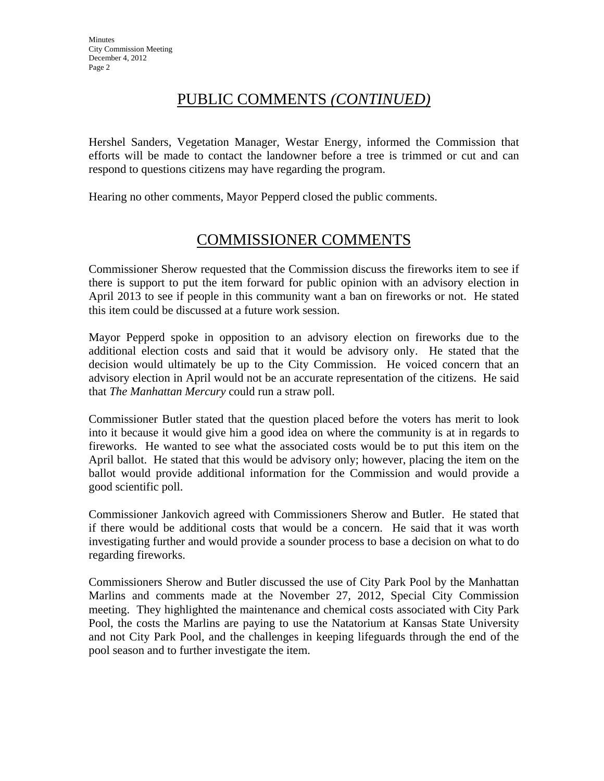# PUBLIC COMMENTS *(CONTINUED)*

Hershel Sanders, Vegetation Manager, Westar Energy, informed the Commission that efforts will be made to contact the landowner before a tree is trimmed or cut and can respond to questions citizens may have regarding the program.

Hearing no other comments, Mayor Pepperd closed the public comments.

# COMMISSIONER COMMENTS

Commissioner Sherow requested that the Commission discuss the fireworks item to see if there is support to put the item forward for public opinion with an advisory election in April 2013 to see if people in this community want a ban on fireworks or not. He stated this item could be discussed at a future work session.

Mayor Pepperd spoke in opposition to an advisory election on fireworks due to the additional election costs and said that it would be advisory only. He stated that the decision would ultimately be up to the City Commission. He voiced concern that an advisory election in April would not be an accurate representation of the citizens. He said that *The Manhattan Mercury* could run a straw poll.

Commissioner Butler stated that the question placed before the voters has merit to look into it because it would give him a good idea on where the community is at in regards to fireworks. He wanted to see what the associated costs would be to put this item on the April ballot. He stated that this would be advisory only; however, placing the item on the ballot would provide additional information for the Commission and would provide a good scientific poll.

Commissioner Jankovich agreed with Commissioners Sherow and Butler. He stated that if there would be additional costs that would be a concern. He said that it was worth investigating further and would provide a sounder process to base a decision on what to do regarding fireworks.

Commissioners Sherow and Butler discussed the use of City Park Pool by the Manhattan Marlins and comments made at the November 27, 2012, Special City Commission meeting. They highlighted the maintenance and chemical costs associated with City Park Pool, the costs the Marlins are paying to use the Natatorium at Kansas State University and not City Park Pool, and the challenges in keeping lifeguards through the end of the pool season and to further investigate the item.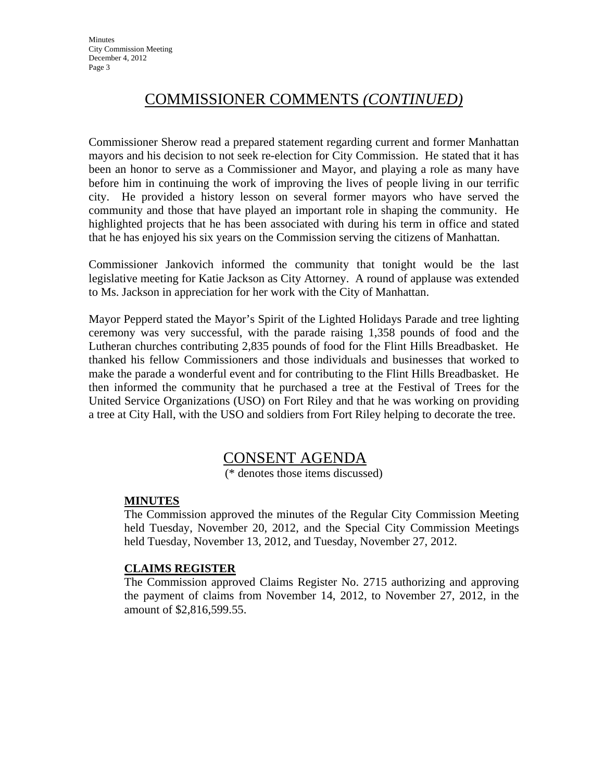# COMMISSIONER COMMENTS *(CONTINUED)*

Commissioner Sherow read a prepared statement regarding current and former Manhattan mayors and his decision to not seek re-election for City Commission. He stated that it has been an honor to serve as a Commissioner and Mayor, and playing a role as many have before him in continuing the work of improving the lives of people living in our terrific city. He provided a history lesson on several former mayors who have served the community and those that have played an important role in shaping the community. He highlighted projects that he has been associated with during his term in office and stated that he has enjoyed his six years on the Commission serving the citizens of Manhattan.

Commissioner Jankovich informed the community that tonight would be the last legislative meeting for Katie Jackson as City Attorney. A round of applause was extended to Ms. Jackson in appreciation for her work with the City of Manhattan.

Mayor Pepperd stated the Mayor's Spirit of the Lighted Holidays Parade and tree lighting ceremony was very successful, with the parade raising 1,358 pounds of food and the Lutheran churches contributing 2,835 pounds of food for the Flint Hills Breadbasket. He thanked his fellow Commissioners and those individuals and businesses that worked to make the parade a wonderful event and for contributing to the Flint Hills Breadbasket. He then informed the community that he purchased a tree at the Festival of Trees for the United Service Organizations (USO) on Fort Riley and that he was working on providing a tree at City Hall, with the USO and soldiers from Fort Riley helping to decorate the tree.

## CONSENT AGENDA

(\* denotes those items discussed)

### **MINUTES**

The Commission approved the minutes of the Regular City Commission Meeting held Tuesday, November 20, 2012, and the Special City Commission Meetings held Tuesday, November 13, 2012, and Tuesday, November 27, 2012.

#### **CLAIMS REGISTER**

The Commission approved Claims Register No. 2715 authorizing and approving the payment of claims from November 14, 2012, to November 27, 2012, in the amount of \$2,816,599.55.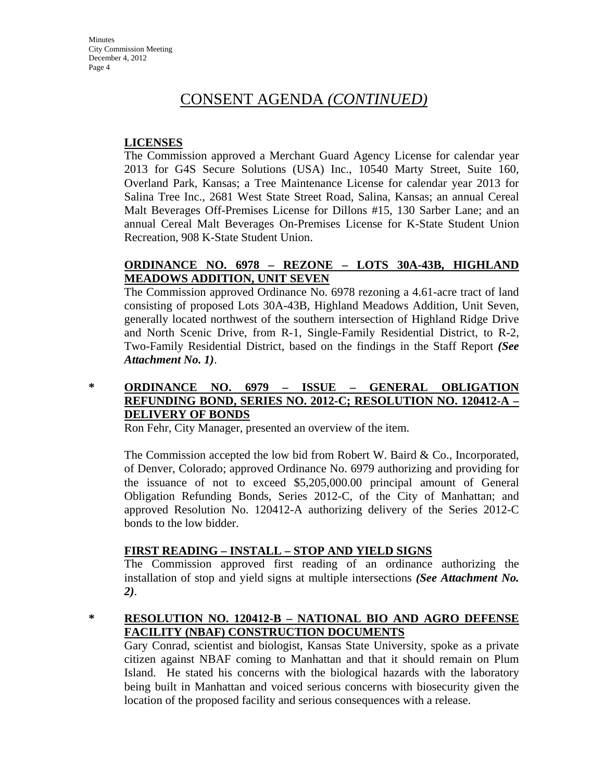#### **LICENSES**

The Commission approved a Merchant Guard Agency License for calendar year 2013 for G4S Secure Solutions (USA) Inc., 10540 Marty Street, Suite 160, Overland Park, Kansas; a Tree Maintenance License for calendar year 2013 for Salina Tree Inc., 2681 West State Street Road, Salina, Kansas; an annual Cereal Malt Beverages Off-Premises License for Dillons #15, 130 Sarber Lane; and an annual Cereal Malt Beverages On-Premises License for K-State Student Union Recreation, 908 K-State Student Union.

### **ORDINANCE NO. 6978 – REZONE – LOTS 30A-43B, HIGHLAND MEADOWS ADDITION, UNIT SEVEN**

The Commission approved Ordinance No. 6978 rezoning a 4.61-acre tract of land consisting of proposed Lots 30A-43B, Highland Meadows Addition, Unit Seven, generally located northwest of the southern intersection of Highland Ridge Drive and North Scenic Drive, from R-1, Single-Family Residential District, to R-2, Two-Family Residential District, based on the findings in the Staff Report *(See Attachment No. 1)*.

### **\* ORDINANCE NO. 6979 – ISSUE – GENERAL OBLIGATION REFUNDING BOND, SERIES NO. 2012-C; RESOLUTION NO. 120412-A – DELIVERY OF BONDS**

Ron Fehr, City Manager, presented an overview of the item.

The Commission accepted the low bid from Robert W. Baird & Co., Incorporated, of Denver, Colorado; approved Ordinance No. 6979 authorizing and providing for the issuance of not to exceed \$5,205,000.00 principal amount of General Obligation Refunding Bonds, Series 2012-C, of the City of Manhattan; and approved Resolution No. 120412-A authorizing delivery of the Series 2012-C bonds to the low bidder.

### **FIRST READING – INSTALL – STOP AND YIELD SIGNS**

The Commission approved first reading of an ordinance authorizing the installation of stop and yield signs at multiple intersections *(See Attachment No. 2)*.

#### **\* RESOLUTION NO. 120412-B – NATIONAL BIO AND AGRO DEFENSE FACILITY (NBAF) CONSTRUCTION DOCUMENTS**

Gary Conrad, scientist and biologist, Kansas State University, spoke as a private citizen against NBAF coming to Manhattan and that it should remain on Plum Island. He stated his concerns with the biological hazards with the laboratory being built in Manhattan and voiced serious concerns with biosecurity given the location of the proposed facility and serious consequences with a release.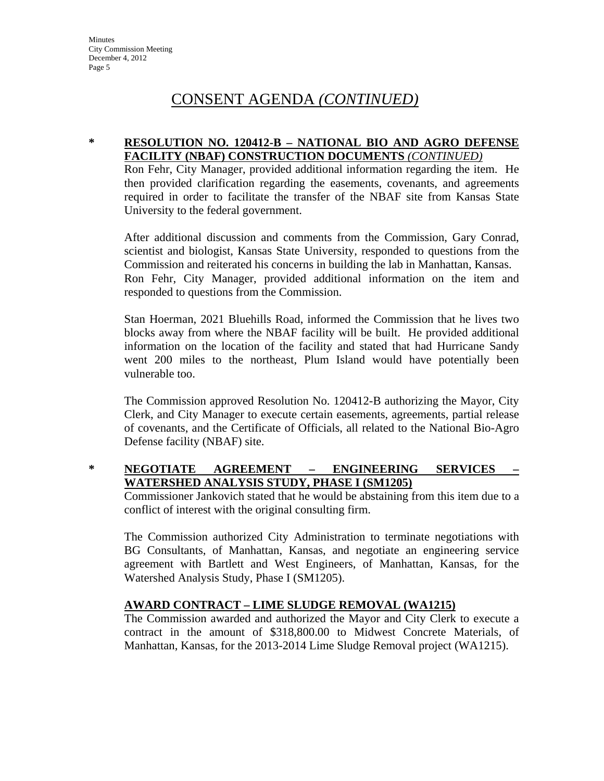#### **\* RESOLUTION NO. 120412-B – NATIONAL BIO AND AGRO DEFENSE FACILITY (NBAF) CONSTRUCTION DOCUMENTS** *(CONTINUED)*

Ron Fehr, City Manager, provided additional information regarding the item. He then provided clarification regarding the easements, covenants, and agreements required in order to facilitate the transfer of the NBAF site from Kansas State University to the federal government.

After additional discussion and comments from the Commission, Gary Conrad, scientist and biologist, Kansas State University, responded to questions from the Commission and reiterated his concerns in building the lab in Manhattan, Kansas. Ron Fehr, City Manager, provided additional information on the item and responded to questions from the Commission.

Stan Hoerman, 2021 Bluehills Road, informed the Commission that he lives two blocks away from where the NBAF facility will be built. He provided additional information on the location of the facility and stated that had Hurricane Sandy went 200 miles to the northeast, Plum Island would have potentially been vulnerable too.

The Commission approved Resolution No. 120412-B authorizing the Mayor, City Clerk, and City Manager to execute certain easements, agreements, partial release of covenants, and the Certificate of Officials, all related to the National Bio-Agro Defense facility (NBAF) site.

### **\* NEGOTIATE AGREEMENT – ENGINEERING SERVICES – WATERSHED ANALYSIS STUDY, PHASE I (SM1205)**

Commissioner Jankovich stated that he would be abstaining from this item due to a conflict of interest with the original consulting firm.

The Commission authorized City Administration to terminate negotiations with BG Consultants, of Manhattan, Kansas, and negotiate an engineering service agreement with Bartlett and West Engineers, of Manhattan, Kansas, for the Watershed Analysis Study, Phase I (SM1205).

### **AWARD CONTRACT – LIME SLUDGE REMOVAL (WA1215)**

The Commission awarded and authorized the Mayor and City Clerk to execute a contract in the amount of \$318,800.00 to Midwest Concrete Materials, of Manhattan, Kansas, for the 2013-2014 Lime Sludge Removal project (WA1215).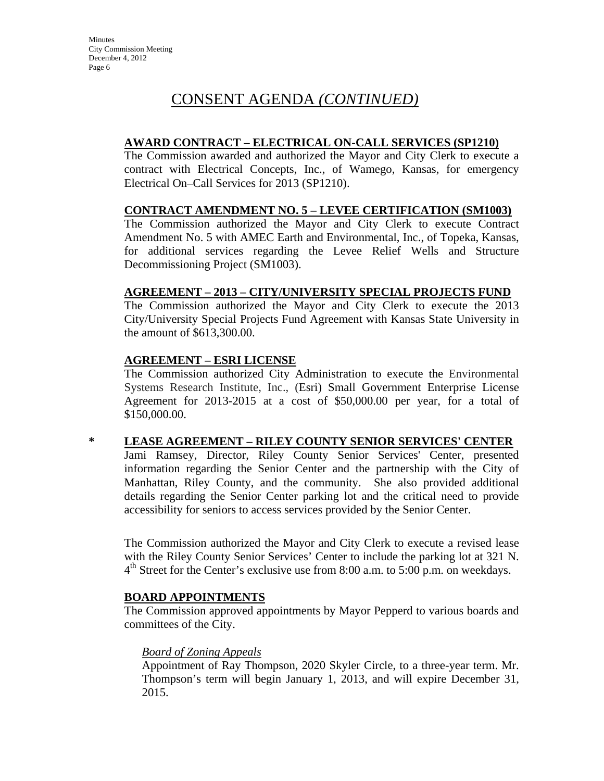### **AWARD CONTRACT – ELECTRICAL ON-CALL SERVICES (SP1210)**

The Commission awarded and authorized the Mayor and City Clerk to execute a contract with Electrical Concepts, Inc., of Wamego, Kansas, for emergency Electrical On–Call Services for 2013 (SP1210).

### **CONTRACT AMENDMENT NO. 5 – LEVEE CERTIFICATION (SM1003)**

The Commission authorized the Mayor and City Clerk to execute Contract Amendment No. 5 with AMEC Earth and Environmental, Inc., of Topeka, Kansas, for additional services regarding the Levee Relief Wells and Structure Decommissioning Project (SM1003).

### **AGREEMENT – 2013 – CITY/UNIVERSITY SPECIAL PROJECTS FUND**

The Commission authorized the Mayor and City Clerk to execute the 2013 City/University Special Projects Fund Agreement with Kansas State University in the amount of \$613,300.00.

### **AGREEMENT – ESRI LICENSE**

The Commission authorized City Administration to execute the Environmental Systems Research Institute, Inc., (Esri) Small Government Enterprise License Agreement for 2013-2015 at a cost of \$50,000.00 per year, for a total of \$150,000.00.

## **\* LEASE AGREEMENT – RILEY COUNTY SENIOR SERVICES' CENTER**

Jami Ramsey, Director, Riley County Senior Services' Center, presented information regarding the Senior Center and the partnership with the City of Manhattan, Riley County, and the community. She also provided additional details regarding the Senior Center parking lot and the critical need to provide accessibility for seniors to access services provided by the Senior Center.

The Commission authorized the Mayor and City Clerk to execute a revised lease with the Riley County Senior Services' Center to include the parking lot at 321 N.  $4<sup>th</sup>$  Street for the Center's exclusive use from 8:00 a.m. to 5:00 p.m. on weekdays.

### **BOARD APPOINTMENTS**

The Commission approved appointments by Mayor Pepperd to various boards and committees of the City.

## *Board of Zoning Appeals*

Appointment of Ray Thompson, 2020 Skyler Circle, to a three-year term. Mr. Thompson's term will begin January 1, 2013, and will expire December 31, 2015.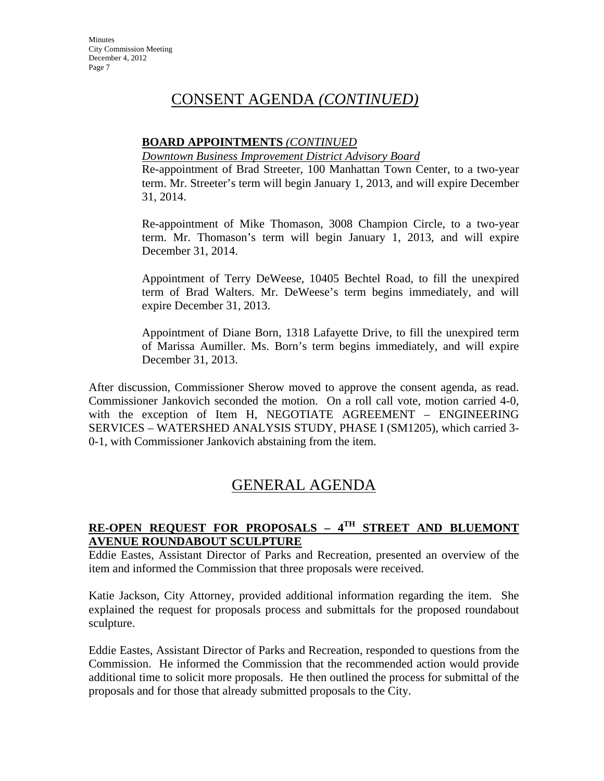### **BOARD APPOINTMENTS** *(CONTINUED*

#### *Downtown Business Improvement District Advisory Board*

Re-appointment of Brad Streeter, 100 Manhattan Town Center, to a two-year term. Mr. Streeter's term will begin January 1, 2013, and will expire December 31, 2014.

Re-appointment of Mike Thomason, 3008 Champion Circle, to a two-year term. Mr. Thomason's term will begin January 1, 2013, and will expire December 31, 2014.

Appointment of Terry DeWeese, 10405 Bechtel Road, to fill the unexpired term of Brad Walters. Mr. DeWeese's term begins immediately, and will expire December 31, 2013.

Appointment of Diane Born, 1318 Lafayette Drive, to fill the unexpired term of Marissa Aumiller. Ms. Born's term begins immediately, and will expire December 31, 2013.

After discussion, Commissioner Sherow moved to approve the consent agenda, as read. Commissioner Jankovich seconded the motion. On a roll call vote, motion carried 4-0, with the exception of Item H, NEGOTIATE AGREEMENT – ENGINEERING SERVICES – WATERSHED ANALYSIS STUDY, PHASE I (SM1205), which carried 3- 0-1, with Commissioner Jankovich abstaining from the item.

## GENERAL AGENDA

### **RE-OPEN REQUEST FOR PROPOSALS – 4TH STREET AND BLUEMONT AVENUE ROUNDABOUT SCULPTURE**

Eddie Eastes, Assistant Director of Parks and Recreation, presented an overview of the item and informed the Commission that three proposals were received.

Katie Jackson, City Attorney, provided additional information regarding the item. She explained the request for proposals process and submittals for the proposed roundabout sculpture.

Eddie Eastes, Assistant Director of Parks and Recreation, responded to questions from the Commission. He informed the Commission that the recommended action would provide additional time to solicit more proposals. He then outlined the process for submittal of the proposals and for those that already submitted proposals to the City.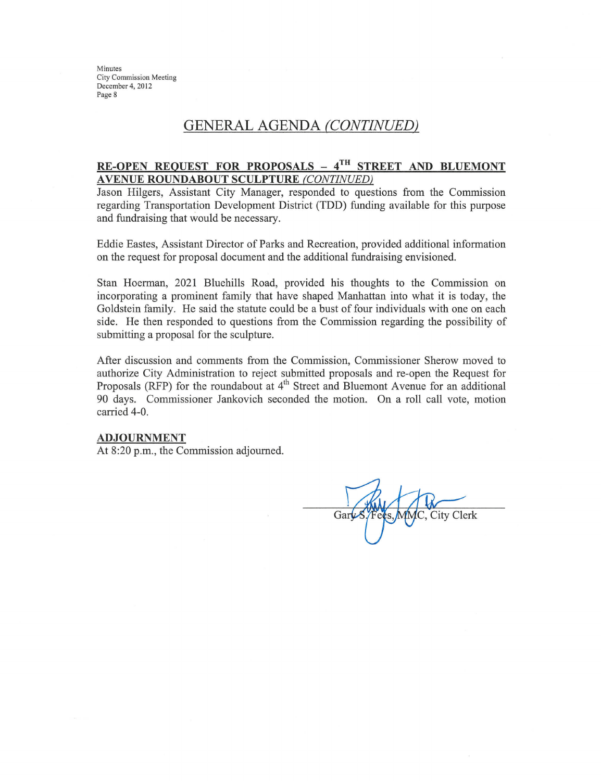Minutes **City Commission Meeting** December 4, 2012 Page 8

## GENERAL AGENDA (CONTINUED)

#### RE-OPEN REQUEST FOR PROPOSALS -  $4^{TH}$  STREET AND BLUEMONT **AVENUE ROUNDABOUT SCULPTURE (CONTINUED)**

Jason Hilgers, Assistant City Manager, responded to questions from the Commission regarding Transportation Development District (TDD) funding available for this purpose and fundraising that would be necessary.

Eddie Eastes, Assistant Director of Parks and Recreation, provided additional information on the request for proposal document and the additional fundraising envisioned.

Stan Hoerman, 2021 Bluehills Road, provided his thoughts to the Commission on incorporating a prominent family that have shaped Manhattan into what it is today, the Goldstein family. He said the statute could be a bust of four individuals with one on each side. He then responded to questions from the Commission regarding the possibility of submitting a proposal for the sculpture.

After discussion and comments from the Commission, Commissioner Sherow moved to authorize City Administration to reject submitted proposals and re-open the Request for Proposals (RFP) for the roundabout at 4<sup>th</sup> Street and Bluemont Avenue for an additional 90 days. Commissioner Jankovich seconded the motion. On a roll call vote, motion carried 4-0.

#### **ADJOURNMENT**

At 8:20 p.m., the Commission adjourned.

Gar City Clerk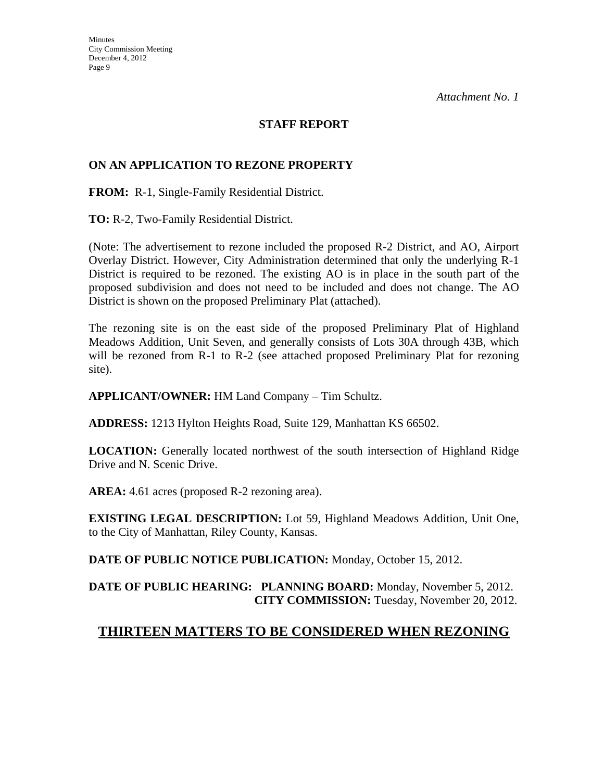### **STAFF REPORT**

### **ON AN APPLICATION TO REZONE PROPERTY**

**FROM:** R-1, Single-Family Residential District.

**TO:** R-2, Two-Family Residential District.

(Note: The advertisement to rezone included the proposed R-2 District, and AO, Airport Overlay District. However, City Administration determined that only the underlying R-1 District is required to be rezoned. The existing AO is in place in the south part of the proposed subdivision and does not need to be included and does not change. The AO District is shown on the proposed Preliminary Plat (attached).

The rezoning site is on the east side of the proposed Preliminary Plat of Highland Meadows Addition, Unit Seven, and generally consists of Lots 30A through 43B, which will be rezoned from R-1 to R-2 (see attached proposed Preliminary Plat for rezoning site).

**APPLICANT/OWNER:** HM Land Company – Tim Schultz.

**ADDRESS:** 1213 Hylton Heights Road, Suite 129, Manhattan KS 66502.

**LOCATION:** Generally located northwest of the south intersection of Highland Ridge Drive and N. Scenic Drive.

**AREA:** 4.61 acres (proposed R-2 rezoning area).

**EXISTING LEGAL DESCRIPTION:** Lot 59, Highland Meadows Addition, Unit One, to the City of Manhattan, Riley County, Kansas.

**DATE OF PUBLIC NOTICE PUBLICATION:** Monday, October 15, 2012.

**DATE OF PUBLIC HEARING: PLANNING BOARD:** Monday, November 5, 2012. **CITY COMMISSION:** Tuesday, November 20, 2012.

### **THIRTEEN MATTERS TO BE CONSIDERED WHEN REZONING**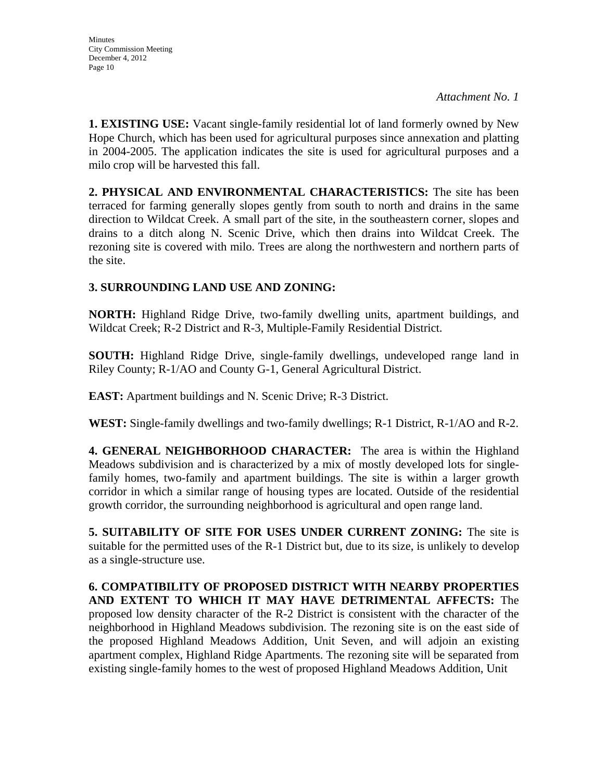**1. EXISTING USE:** Vacant single-family residential lot of land formerly owned by New Hope Church, which has been used for agricultural purposes since annexation and platting in 2004-2005. The application indicates the site is used for agricultural purposes and a milo crop will be harvested this fall.

**2. PHYSICAL AND ENVIRONMENTAL CHARACTERISTICS:** The site has been terraced for farming generally slopes gently from south to north and drains in the same direction to Wildcat Creek. A small part of the site, in the southeastern corner, slopes and drains to a ditch along N. Scenic Drive, which then drains into Wildcat Creek. The rezoning site is covered with milo. Trees are along the northwestern and northern parts of the site.

## **3. SURROUNDING LAND USE AND ZONING:**

**NORTH:** Highland Ridge Drive, two-family dwelling units, apartment buildings, and Wildcat Creek; R-2 District and R-3, Multiple-Family Residential District.

**SOUTH:** Highland Ridge Drive, single-family dwellings, undeveloped range land in Riley County; R-1/AO and County G-1, General Agricultural District.

**EAST:** Apartment buildings and N. Scenic Drive; R-3 District.

**WEST:** Single-family dwellings and two-family dwellings; R-1 District, R-1/AO and R-2.

**4. GENERAL NEIGHBORHOOD CHARACTER:** The area is within the Highland Meadows subdivision and is characterized by a mix of mostly developed lots for singlefamily homes, two-family and apartment buildings. The site is within a larger growth corridor in which a similar range of housing types are located. Outside of the residential growth corridor, the surrounding neighborhood is agricultural and open range land.

**5. SUITABILITY OF SITE FOR USES UNDER CURRENT ZONING:** The site is suitable for the permitted uses of the R-1 District but, due to its size, is unlikely to develop as a single-structure use.

**6. COMPATIBILITY OF PROPOSED DISTRICT WITH NEARBY PROPERTIES AND EXTENT TO WHICH IT MAY HAVE DETRIMENTAL AFFECTS:** The proposed low density character of the R-2 District is consistent with the character of the neighborhood in Highland Meadows subdivision. The rezoning site is on the east side of the proposed Highland Meadows Addition, Unit Seven, and will adjoin an existing apartment complex, Highland Ridge Apartments. The rezoning site will be separated from existing single-family homes to the west of proposed Highland Meadows Addition, Unit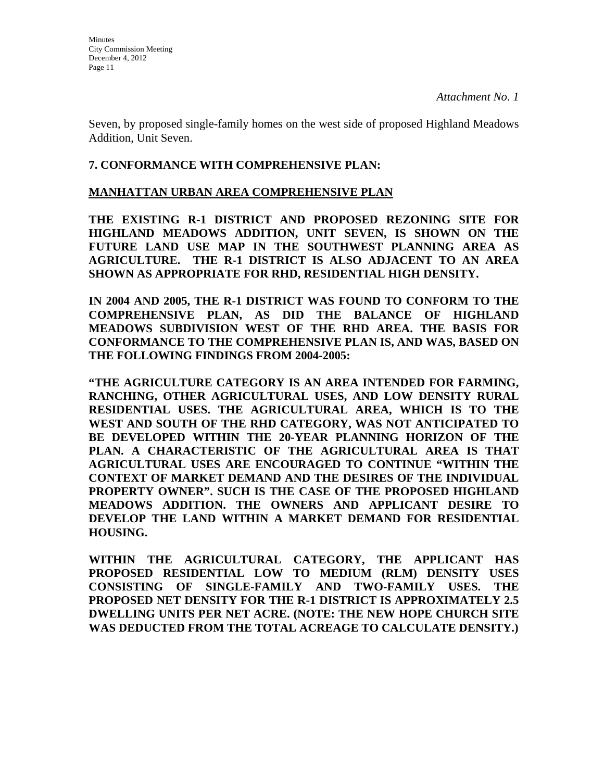Seven, by proposed single-family homes on the west side of proposed Highland Meadows Addition, Unit Seven.

### **7. CONFORMANCE WITH COMPREHENSIVE PLAN:**

#### **MANHATTAN URBAN AREA COMPREHENSIVE PLAN**

**THE EXISTING R-1 DISTRICT AND PROPOSED REZONING SITE FOR HIGHLAND MEADOWS ADDITION, UNIT SEVEN, IS SHOWN ON THE FUTURE LAND USE MAP IN THE SOUTHWEST PLANNING AREA AS AGRICULTURE. THE R-1 DISTRICT IS ALSO ADJACENT TO AN AREA SHOWN AS APPROPRIATE FOR RHD, RESIDENTIAL HIGH DENSITY.** 

**IN 2004 AND 2005, THE R-1 DISTRICT WAS FOUND TO CONFORM TO THE COMPREHENSIVE PLAN, AS DID THE BALANCE OF HIGHLAND MEADOWS SUBDIVISION WEST OF THE RHD AREA. THE BASIS FOR CONFORMANCE TO THE COMPREHENSIVE PLAN IS, AND WAS, BASED ON THE FOLLOWING FINDINGS FROM 2004-2005:**

**"THE AGRICULTURE CATEGORY IS AN AREA INTENDED FOR FARMING, RANCHING, OTHER AGRICULTURAL USES, AND LOW DENSITY RURAL RESIDENTIAL USES. THE AGRICULTURAL AREA, WHICH IS TO THE WEST AND SOUTH OF THE RHD CATEGORY, WAS NOT ANTICIPATED TO BE DEVELOPED WITHIN THE 20-YEAR PLANNING HORIZON OF THE PLAN. A CHARACTERISTIC OF THE AGRICULTURAL AREA IS THAT AGRICULTURAL USES ARE ENCOURAGED TO CONTINUE "WITHIN THE CONTEXT OF MARKET DEMAND AND THE DESIRES OF THE INDIVIDUAL PROPERTY OWNER". SUCH IS THE CASE OF THE PROPOSED HIGHLAND MEADOWS ADDITION. THE OWNERS AND APPLICANT DESIRE TO DEVELOP THE LAND WITHIN A MARKET DEMAND FOR RESIDENTIAL HOUSING.**

**WITHIN THE AGRICULTURAL CATEGORY, THE APPLICANT HAS PROPOSED RESIDENTIAL LOW TO MEDIUM (RLM) DENSITY USES CONSISTING OF SINGLE-FAMILY AND TWO-FAMILY USES. THE PROPOSED NET DENSITY FOR THE R-1 DISTRICT IS APPROXIMATELY 2.5 DWELLING UNITS PER NET ACRE. (NOTE: THE NEW HOPE CHURCH SITE WAS DEDUCTED FROM THE TOTAL ACREAGE TO CALCULATE DENSITY.)**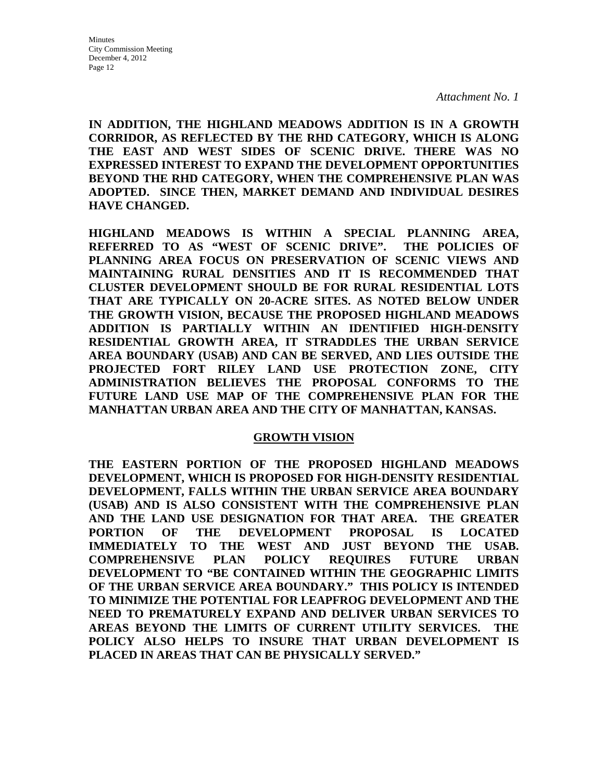**IN ADDITION, THE HIGHLAND MEADOWS ADDITION IS IN A GROWTH CORRIDOR, AS REFLECTED BY THE RHD CATEGORY, WHICH IS ALONG THE EAST AND WEST SIDES OF SCENIC DRIVE. THERE WAS NO EXPRESSED INTEREST TO EXPAND THE DEVELOPMENT OPPORTUNITIES BEYOND THE RHD CATEGORY, WHEN THE COMPREHENSIVE PLAN WAS ADOPTED. SINCE THEN, MARKET DEMAND AND INDIVIDUAL DESIRES HAVE CHANGED.**

**HIGHLAND MEADOWS IS WITHIN A SPECIAL PLANNING AREA, REFERRED TO AS "WEST OF SCENIC DRIVE". THE POLICIES OF PLANNING AREA FOCUS ON PRESERVATION OF SCENIC VIEWS AND MAINTAINING RURAL DENSITIES AND IT IS RECOMMENDED THAT CLUSTER DEVELOPMENT SHOULD BE FOR RURAL RESIDENTIAL LOTS THAT ARE TYPICALLY ON 20-ACRE SITES. AS NOTED BELOW UNDER THE GROWTH VISION, BECAUSE THE PROPOSED HIGHLAND MEADOWS ADDITION IS PARTIALLY WITHIN AN IDENTIFIED HIGH-DENSITY RESIDENTIAL GROWTH AREA, IT STRADDLES THE URBAN SERVICE AREA BOUNDARY (USAB) AND CAN BE SERVED, AND LIES OUTSIDE THE PROJECTED FORT RILEY LAND USE PROTECTION ZONE, CITY ADMINISTRATION BELIEVES THE PROPOSAL CONFORMS TO THE FUTURE LAND USE MAP OF THE COMPREHENSIVE PLAN FOR THE MANHATTAN URBAN AREA AND THE CITY OF MANHATTAN, KANSAS.** 

#### **GROWTH VISION**

**THE EASTERN PORTION OF THE PROPOSED HIGHLAND MEADOWS DEVELOPMENT, WHICH IS PROPOSED FOR HIGH-DENSITY RESIDENTIAL DEVELOPMENT, FALLS WITHIN THE URBAN SERVICE AREA BOUNDARY (USAB) AND IS ALSO CONSISTENT WITH THE COMPREHENSIVE PLAN AND THE LAND USE DESIGNATION FOR THAT AREA. THE GREATER PORTION OF THE DEVELOPMENT PROPOSAL IS LOCATED IMMEDIATELY TO THE WEST AND JUST BEYOND THE USAB. COMPREHENSIVE PLAN POLICY REQUIRES FUTURE URBAN DEVELOPMENT TO "BE CONTAINED WITHIN THE GEOGRAPHIC LIMITS OF THE URBAN SERVICE AREA BOUNDARY." THIS POLICY IS INTENDED TO MINIMIZE THE POTENTIAL FOR LEAPFROG DEVELOPMENT AND THE NEED TO PREMATURELY EXPAND AND DELIVER URBAN SERVICES TO AREAS BEYOND THE LIMITS OF CURRENT UTILITY SERVICES. THE POLICY ALSO HELPS TO INSURE THAT URBAN DEVELOPMENT IS PLACED IN AREAS THAT CAN BE PHYSICALLY SERVED."**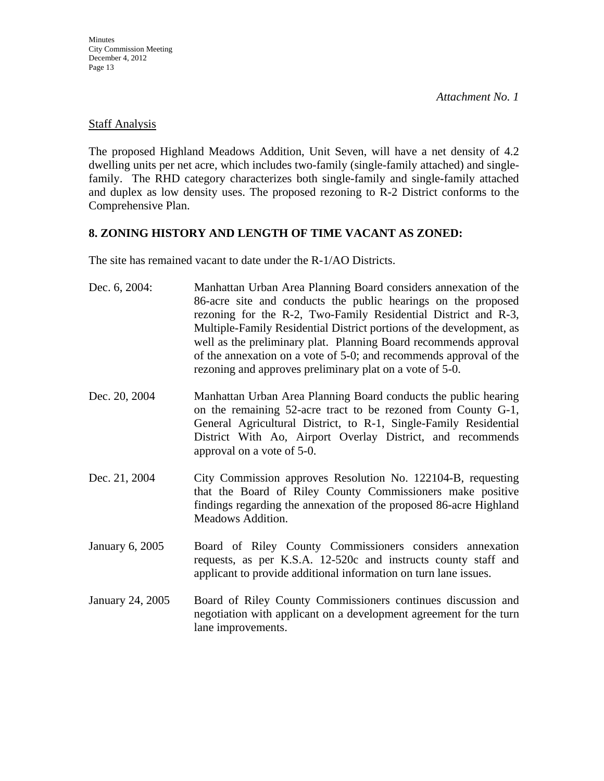### Staff Analysis

The proposed Highland Meadows Addition, Unit Seven, will have a net density of 4.2 dwelling units per net acre, which includes two-family (single-family attached) and singlefamily. The RHD category characterizes both single-family and single-family attached and duplex as low density uses. The proposed rezoning to R-2 District conforms to the Comprehensive Plan.

### **8. ZONING HISTORY AND LENGTH OF TIME VACANT AS ZONED:**

The site has remained vacant to date under the R-1/AO Districts.

| Dec. 6, 2004:                                                             | Manhattan Urban Area Planning Board considers annexation of the<br>86-acre site and conducts the public hearings on the proposed<br>rezoning for the R-2, Two-Family Residential District and R-3,<br>Multiple-Family Residential District portions of the development, as<br>well as the preliminary plat. Planning Board recommends approval<br>of the annexation on a vote of 5-0; and recommends approval of the<br>rezoning and approves preliminary plat on a vote of 5-0. |
|---------------------------------------------------------------------------|----------------------------------------------------------------------------------------------------------------------------------------------------------------------------------------------------------------------------------------------------------------------------------------------------------------------------------------------------------------------------------------------------------------------------------------------------------------------------------|
| Dec. 20, 2004                                                             | Manhattan Urban Area Planning Board conducts the public hearing<br>on the remaining 52-acre tract to be rezoned from County G-1,<br>General Agricultural District, to R-1, Single-Family Residential<br>District With Ao, Airport Overlay District, and recommends<br>approval on a vote of 5-0.                                                                                                                                                                                 |
| Dec. 21, 2004                                                             | City Commission approves Resolution No. 122104-B, requesting<br>that the Board of Riley County Commissioners make positive<br>findings regarding the annexation of the proposed 86-acre Highland<br>Meadows Addition.                                                                                                                                                                                                                                                            |
| January 6, 2005                                                           | Board of Riley County Commissioners considers annexation<br>requests, as per K.S.A. 12-520c and instructs county staff and<br>applicant to provide additional information on turn lane issues.                                                                                                                                                                                                                                                                                   |
| $T_{\text{0}}$ $\mu$ $\sigma$ $\mu$ $\gamma$ $\Lambda$ $\gamma$ $\Lambda$ | Board of Biloy County Commissioners continues discussion and                                                                                                                                                                                                                                                                                                                                                                                                                     |

January 24, 2005 Board of Riley County Commissioners continues discussion and negotiation with applicant on a development agreement for the turn lane improvements.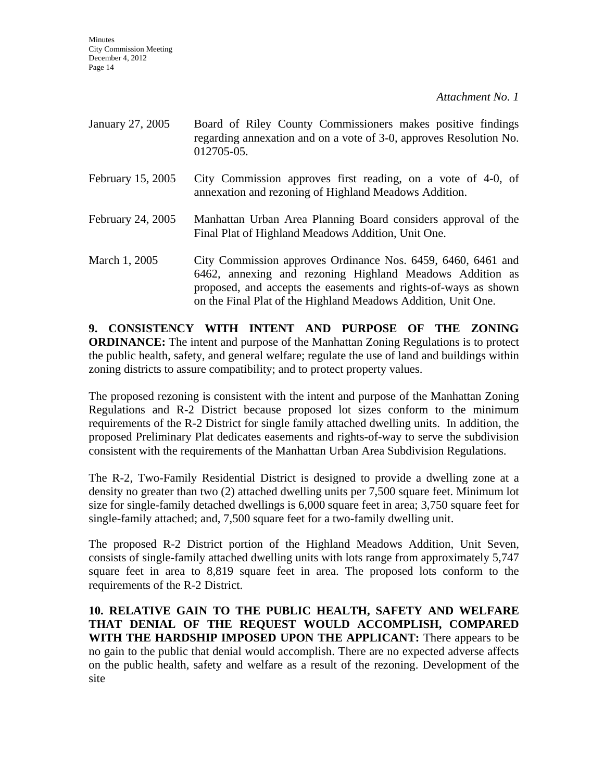**Minutes** City Commission Meeting December 4, 2012 Page 14

*Attachment No. 1* 

| January 27, 2005  | Board of Riley County Commissioners makes positive findings<br>regarding annexation and on a vote of 3-0, approves Resolution No.<br>012705-05.                                                                                                              |
|-------------------|--------------------------------------------------------------------------------------------------------------------------------------------------------------------------------------------------------------------------------------------------------------|
| February 15, 2005 | City Commission approves first reading, on a vote of 4-0, of<br>annexation and rezoning of Highland Meadows Addition.                                                                                                                                        |
| February 24, 2005 | Manhattan Urban Area Planning Board considers approval of the<br>Final Plat of Highland Meadows Addition, Unit One.                                                                                                                                          |
| March 1, 2005     | City Commission approves Ordinance Nos. 6459, 6460, 6461 and<br>6462, annexing and rezoning Highland Meadows Addition as<br>proposed, and accepts the easements and rights-of-ways as shown<br>on the Final Plat of the Highland Meadows Addition, Unit One. |

**9. CONSISTENCY WITH INTENT AND PURPOSE OF THE ZONING ORDINANCE:** The intent and purpose of the Manhattan Zoning Regulations is to protect the public health, safety, and general welfare; regulate the use of land and buildings within zoning districts to assure compatibility; and to protect property values.

The proposed rezoning is consistent with the intent and purpose of the Manhattan Zoning Regulations and R-2 District because proposed lot sizes conform to the minimum requirements of the R-2 District for single family attached dwelling units. In addition, the proposed Preliminary Plat dedicates easements and rights-of-way to serve the subdivision consistent with the requirements of the Manhattan Urban Area Subdivision Regulations.

The R-2, Two-Family Residential District is designed to provide a dwelling zone at a density no greater than two (2) attached dwelling units per 7,500 square feet. Minimum lot size for single-family detached dwellings is 6,000 square feet in area; 3,750 square feet for single-family attached; and, 7,500 square feet for a two-family dwelling unit.

The proposed R-2 District portion of the Highland Meadows Addition, Unit Seven, consists of single-family attached dwelling units with lots range from approximately 5,747 square feet in area to 8,819 square feet in area. The proposed lots conform to the requirements of the R-2 District.

**10. RELATIVE GAIN TO THE PUBLIC HEALTH, SAFETY AND WELFARE THAT DENIAL OF THE REQUEST WOULD ACCOMPLISH, COMPARED WITH THE HARDSHIP IMPOSED UPON THE APPLICANT:** There appears to be no gain to the public that denial would accomplish. There are no expected adverse affects on the public health, safety and welfare as a result of the rezoning. Development of the site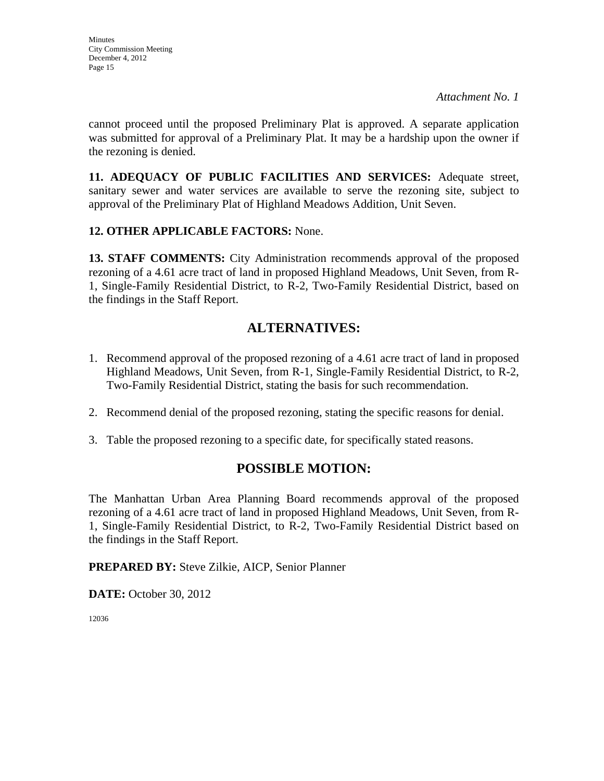cannot proceed until the proposed Preliminary Plat is approved. A separate application was submitted for approval of a Preliminary Plat. It may be a hardship upon the owner if the rezoning is denied.

**11. ADEQUACY OF PUBLIC FACILITIES AND SERVICES:** Adequate street, sanitary sewer and water services are available to serve the rezoning site, subject to approval of the Preliminary Plat of Highland Meadows Addition, Unit Seven.

### **12. OTHER APPLICABLE FACTORS:** None.

**13. STAFF COMMENTS:** City Administration recommends approval of the proposed rezoning of a 4.61 acre tract of land in proposed Highland Meadows, Unit Seven, from R-1, Single-Family Residential District, to R-2, Two-Family Residential District, based on the findings in the Staff Report.

## **ALTERNATIVES:**

- 1. Recommend approval of the proposed rezoning of a 4.61 acre tract of land in proposed Highland Meadows, Unit Seven, from R-1, Single-Family Residential District, to R-2, Two-Family Residential District, stating the basis for such recommendation.
- 2. Recommend denial of the proposed rezoning, stating the specific reasons for denial.
- 3. Table the proposed rezoning to a specific date, for specifically stated reasons.

## **POSSIBLE MOTION:**

The Manhattan Urban Area Planning Board recommends approval of the proposed rezoning of a 4.61 acre tract of land in proposed Highland Meadows, Unit Seven, from R-1, Single-Family Residential District, to R-2, Two-Family Residential District based on the findings in the Staff Report.

**PREPARED BY:** Steve Zilkie, AICP, Senior Planner

**DATE:** October 30, 2012

12036